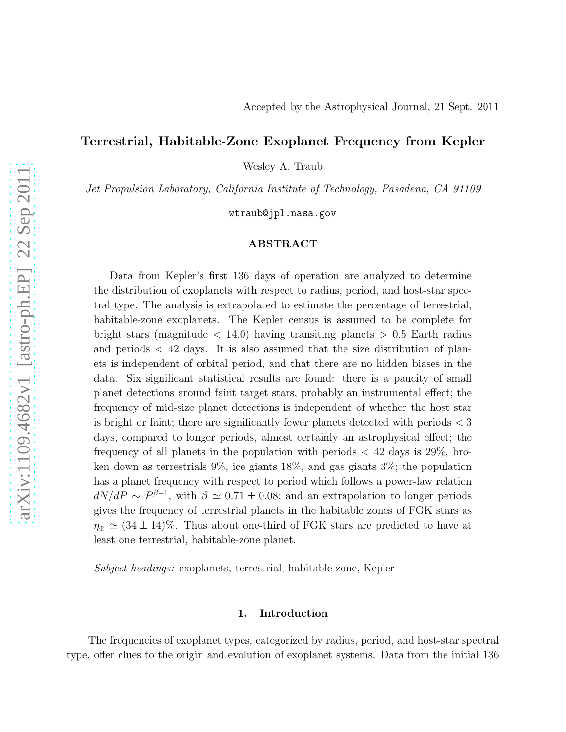# Terrestrial, Habitable-Zone Exoplanet Frequency from Kepler

Wesley A. Traub

*Jet Propulsion Laboratory, California Institute of Technology, Pasadena, CA 91109*

wtraub@jpl.nasa.gov

# ABSTRACT

Data from Kepler's first 136 days of operation are analyzed to determine the distribution of exoplanets with respect to radius, period, and host-star spectral type. The analysis is extrapolated to estimate the percentage of terrestrial, habitable-zone exoplanets. The Kepler census is assumed to be complete for bright stars (magnitude  $\langle 14.0 \rangle$ ) having transiting planets  $> 0.5$  Earth radius and periods  $\langle 42 \rangle$  days. It is also assumed that the size distribution of planets is independent of orbital period, and that there are no hidden biases in the data. Six significant statistical results are found: there is a paucity of small planet detections around faint target stars, probably an instrumental effect; the frequency of mid-size planet detections is independent of whether the host star is bright or faint; there are significantly fewer planets detected with periods < 3 days, compared to longer periods, almost certainly an astrophysical effect; the frequency of all planets in the population with periods  $\langle 42 \rangle$  days is 29%, broken down as terrestrials 9%, ice giants 18%, and gas giants 3%; the population has a planet frequency with respect to period which follows a power-law relation  $dN/dP \sim P^{\beta-1}$ , with  $\beta \simeq 0.71 \pm 0.08$ ; and an extrapolation to longer periods gives the frequency of terrestrial planets in the habitable zones of FGK stars as  $\eta_{\oplus} \simeq (34 \pm 14)\%$ . Thus about one-third of FGK stars are predicted to have at least one terrestrial, habitable-zone planet.

*Subject headings:* exoplanets, terrestrial, habitable zone, Kepler

#### 1. Introduction

The frequencies of exoplanet types, categorized by radius, period, and host-star spectral type, offer clues to the origin and evolution of exoplanet systems. Data from the initial 136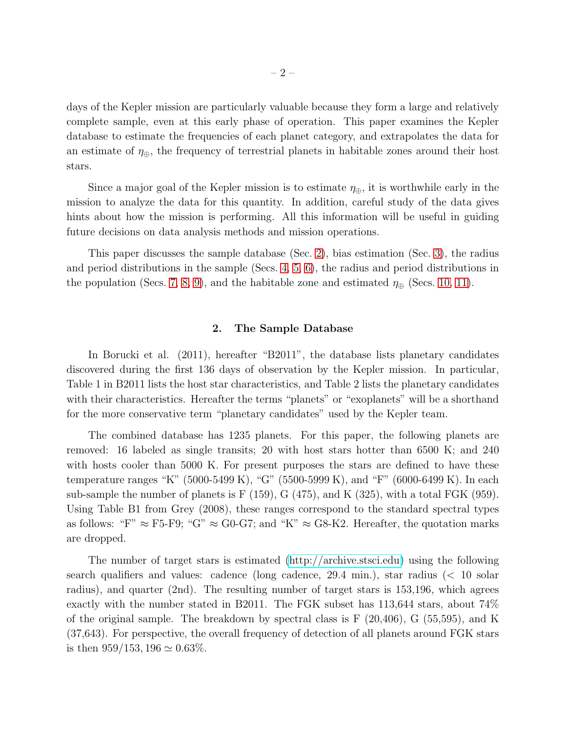days of the Kepler mission are particularly valuable because they form a large and relatively complete sample, even at this early phase of operation. This paper examines the Kepler database to estimate the frequencies of each planet category, and extrapolates the data for an estimate of  $\eta_{\oplus}$ , the frequency of terrestrial planets in habitable zones around their host stars.

Since a major goal of the Kepler mission is to estimate  $\eta_{\oplus}$ , it is worthwhile early in the mission to analyze the data for this quantity. In addition, careful study of the data gives hints about how the mission is performing. All this information will be useful in guiding future decisions on data analysis methods and mission operations.

This paper discusses the sample database (Sec. [2\)](#page-1-0), bias estimation (Sec. [3\)](#page-2-0), the radius and period distributions in the sample (Secs. [4,](#page-5-0) [5,](#page-8-0) [6\)](#page-9-0), the radius and period distributions in the population (Secs. [7,](#page-10-0) [8,](#page-11-0) [9\)](#page-12-0), and the habitable zone and estimated  $\eta_{\oplus}$  (Secs. [10,](#page-14-0) [11\)](#page-15-0).

#### 2. The Sample Database

<span id="page-1-0"></span>In Borucki et al. (2011), hereafter "B2011", the database lists planetary candidates discovered during the first 136 days of observation by the Kepler mission. In particular, Table 1 in B2011 lists the host star characteristics, and Table 2 lists the planetary candidates with their characteristics. Hereafter the terms "planets" or "exoplanets" will be a shorthand for the more conservative term "planetary candidates" used by the Kepler team.

The combined database has 1235 planets. For this paper, the following planets are removed: 16 labeled as single transits; 20 with host stars hotter than 6500 K; and 240 with hosts cooler than 5000 K. For present purposes the stars are defined to have these temperature ranges "K" (5000-5499 K), "G" (5500-5999 K), and "F" (6000-6499 K). In each sub-sample the number of planets is  $F(159)$ ,  $G(475)$ , and  $K(325)$ , with a total  $FGK(959)$ . Using Table B1 from Grey (2008), these ranges correspond to the standard spectral types as follows: "F"  $\approx$  F5-F9; "G"  $\approx$  G0-G7; and "K"  $\approx$  G8-K2. Hereafter, the quotation marks are dropped.

The number of target stars is estimated [\(http://archive.stsci.edu\)](http://archive.stsci.edu) using the following search qualifiers and values: cadence (long cadence, 29.4 min.), star radius (< 10 solar radius), and quarter (2nd). The resulting number of target stars is 153,196, which agrees exactly with the number stated in B2011. The FGK subset has 113,644 stars, about 74% of the original sample. The breakdown by spectral class is F (20,406), G (55,595), and K (37,643). For perspective, the overall frequency of detection of all planets around FGK stars is then  $959/153$ ,  $196 \simeq 0.63\%$ .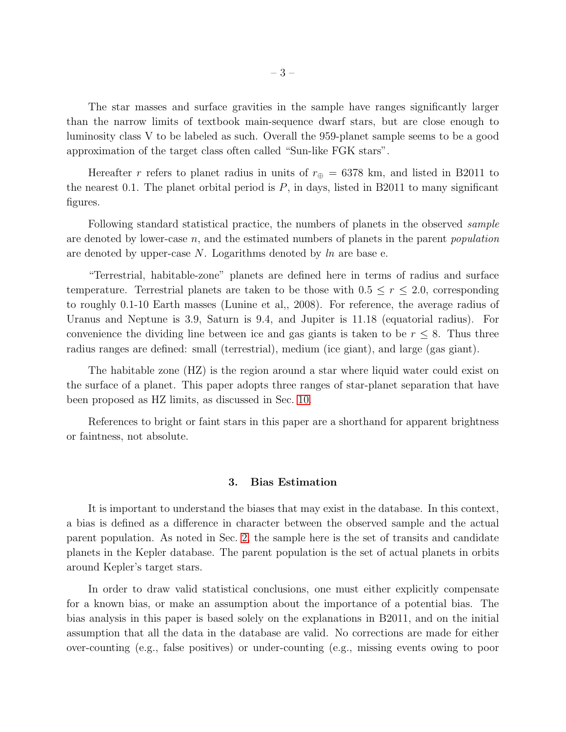The star masses and surface gravities in the sample have ranges significantly larger than the narrow limits of textbook main-sequence dwarf stars, but are close enough to luminosity class V to be labeled as such. Overall the 959-planet sample seems to be a good approximation of the target class often called "Sun-like FGK stars".

Hereafter r refers to planet radius in units of  $r_{\oplus} = 6378$  km, and listed in B2011 to the nearest 0.1. The planet orbital period is  $P$ , in days, listed in B2011 to many significant figures.

Following standard statistical practice, the numbers of planets in the observed *sample* are denoted by lower-case n, and the estimated numbers of planets in the parent *population* are denoted by upper-case N. Logarithms denoted by *ln* are base e.

"Terrestrial, habitable-zone" planets are defined here in terms of radius and surface temperature. Terrestrial planets are taken to be those with  $0.5 \le r \le 2.0$ , corresponding to roughly 0.1-10 Earth masses (Lunine et al,, 2008). For reference, the average radius of Uranus and Neptune is 3.9, Saturn is 9.4, and Jupiter is 11.18 (equatorial radius). For convenience the dividing line between ice and gas giants is taken to be  $r \leq 8$ . Thus three radius ranges are defined: small (terrestrial), medium (ice giant), and large (gas giant).

The habitable zone (HZ) is the region around a star where liquid water could exist on the surface of a planet. This paper adopts three ranges of star-planet separation that have been proposed as HZ limits, as discussed in Sec. [10.](#page-14-0)

<span id="page-2-0"></span>References to bright or faint stars in this paper are a shorthand for apparent brightness or faintness, not absolute.

### 3. Bias Estimation

It is important to understand the biases that may exist in the database. In this context, a bias is defined as a difference in character between the observed sample and the actual parent population. As noted in Sec. [2,](#page-1-0) the sample here is the set of transits and candidate planets in the Kepler database. The parent population is the set of actual planets in orbits around Kepler's target stars.

In order to draw valid statistical conclusions, one must either explicitly compensate for a known bias, or make an assumption about the importance of a potential bias. The bias analysis in this paper is based solely on the explanations in B2011, and on the initial assumption that all the data in the database are valid. No corrections are made for either over-counting (e.g., false positives) or under-counting (e.g., missing events owing to poor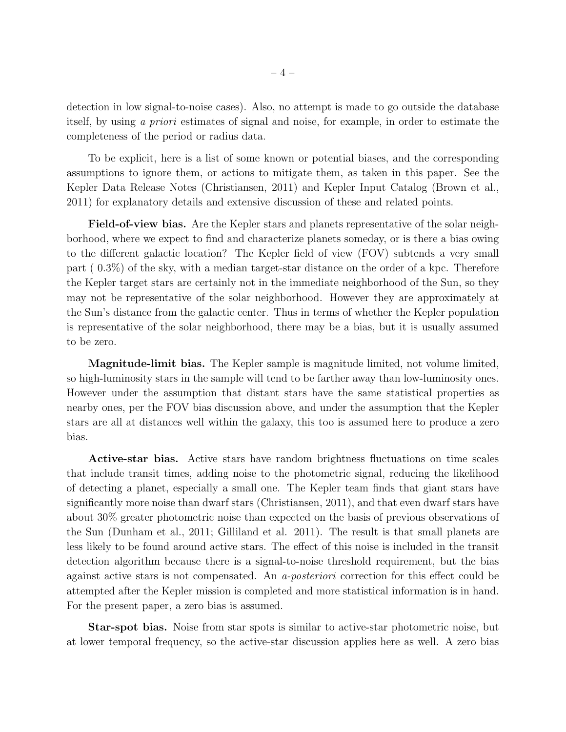detection in low signal-to-noise cases). Also, no attempt is made to go outside the database itself, by using *a priori* estimates of signal and noise, for example, in order to estimate the completeness of the period or radius data.

To be explicit, here is a list of some known or potential biases, and the corresponding assumptions to ignore them, or actions to mitigate them, as taken in this paper. See the Kepler Data Release Notes (Christiansen, 2011) and Kepler Input Catalog (Brown et al., 2011) for explanatory details and extensive discussion of these and related points.

Field-of-view bias. Are the Kepler stars and planets representative of the solar neighborhood, where we expect to find and characterize planets someday, or is there a bias owing to the different galactic location? The Kepler field of view (FOV) subtends a very small part ( 0.3%) of the sky, with a median target-star distance on the order of a kpc. Therefore the Kepler target stars are certainly not in the immediate neighborhood of the Sun, so they may not be representative of the solar neighborhood. However they are approximately at the Sun's distance from the galactic center. Thus in terms of whether the Kepler population is representative of the solar neighborhood, there may be a bias, but it is usually assumed to be zero.

Magnitude-limit bias. The Kepler sample is magnitude limited, not volume limited, so high-luminosity stars in the sample will tend to be farther away than low-luminosity ones. However under the assumption that distant stars have the same statistical properties as nearby ones, per the FOV bias discussion above, and under the assumption that the Kepler stars are all at distances well within the galaxy, this too is assumed here to produce a zero bias.

Active-star bias. Active stars have random brightness fluctuations on time scales that include transit times, adding noise to the photometric signal, reducing the likelihood of detecting a planet, especially a small one. The Kepler team finds that giant stars have significantly more noise than dwarf stars (Christiansen, 2011), and that even dwarf stars have about 30% greater photometric noise than expected on the basis of previous observations of the Sun (Dunham et al., 2011; Gilliland et al. 2011). The result is that small planets are less likely to be found around active stars. The effect of this noise is included in the transit detection algorithm because there is a signal-to-noise threshold requirement, but the bias against active stars is not compensated. An *a-posteriori* correction for this effect could be attempted after the Kepler mission is completed and more statistical information is in hand. For the present paper, a zero bias is assumed.

Star-spot bias. Noise from star spots is similar to active-star photometric noise, but at lower temporal frequency, so the active-star discussion applies here as well. A zero bias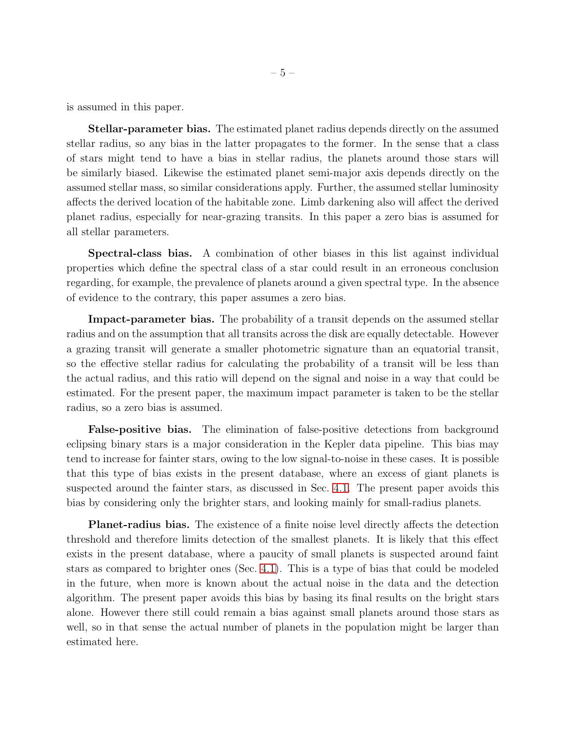is assumed in this paper.

Stellar-parameter bias. The estimated planet radius depends directly on the assumed stellar radius, so any bias in the latter propagates to the former. In the sense that a class of stars might tend to have a bias in stellar radius, the planets around those stars will be similarly biased. Likewise the estimated planet semi-major axis depends directly on the assumed stellar mass, so similar considerations apply. Further, the assumed stellar luminosity affects the derived location of the habitable zone. Limb darkening also will affect the derived planet radius, especially for near-grazing transits. In this paper a zero bias is assumed for all stellar parameters.

Spectral-class bias. A combination of other biases in this list against individual properties which define the spectral class of a star could result in an erroneous conclusion regarding, for example, the prevalence of planets around a given spectral type. In the absence of evidence to the contrary, this paper assumes a zero bias.

Impact-parameter bias. The probability of a transit depends on the assumed stellar radius and on the assumption that all transits across the disk are equally detectable. However a grazing transit will generate a smaller photometric signature than an equatorial transit, so the effective stellar radius for calculating the probability of a transit will be less than the actual radius, and this ratio will depend on the signal and noise in a way that could be estimated. For the present paper, the maximum impact parameter is taken to be the stellar radius, so a zero bias is assumed.

False-positive bias. The elimination of false-positive detections from background eclipsing binary stars is a major consideration in the Kepler data pipeline. This bias may tend to increase for fainter stars, owing to the low signal-to-noise in these cases. It is possible that this type of bias exists in the present database, where an excess of giant planets is suspected around the fainter stars, as discussed in Sec. [4.1.](#page-5-1) The present paper avoids this bias by considering only the brighter stars, and looking mainly for small-radius planets.

Planet-radius bias. The existence of a finite noise level directly affects the detection threshold and therefore limits detection of the smallest planets. It is likely that this effect exists in the present database, where a paucity of small planets is suspected around faint stars as compared to brighter ones (Sec. [4.1\)](#page-5-1). This is a type of bias that could be modeled in the future, when more is known about the actual noise in the data and the detection algorithm. The present paper avoids this bias by basing its final results on the bright stars alone. However there still could remain a bias against small planets around those stars as well, so in that sense the actual number of planets in the population might be larger than estimated here.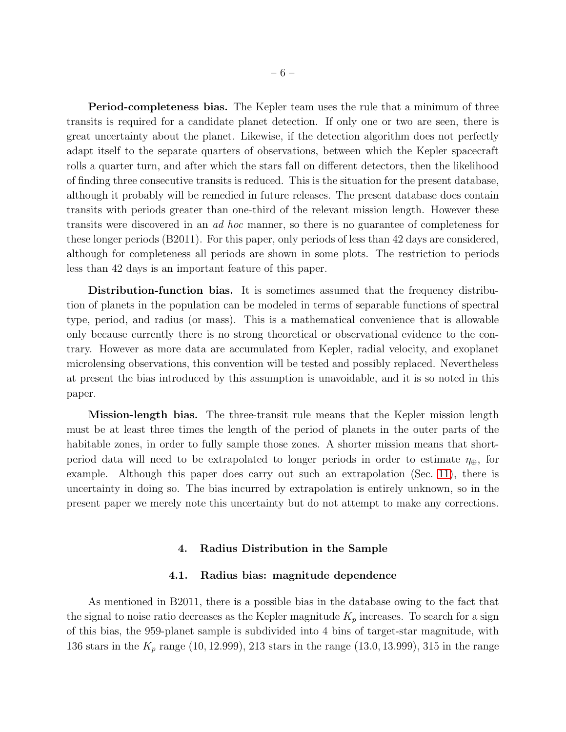Period-completeness bias. The Kepler team uses the rule that a minimum of three transits is required for a candidate planet detection. If only one or two are seen, there is great uncertainty about the planet. Likewise, if the detection algorithm does not perfectly adapt itself to the separate quarters of observations, between which the Kepler spacecraft rolls a quarter turn, and after which the stars fall on different detectors, then the likelihood of finding three consecutive transits is reduced. This is the situation for the present database, although it probably will be remedied in future releases. The present database does contain transits with periods greater than one-third of the relevant mission length. However these transits were discovered in an *ad hoc* manner, so there is no guarantee of completeness for these longer periods (B2011). For this paper, only periods of less than 42 days are considered, although for completeness all periods are shown in some plots. The restriction to periods less than 42 days is an important feature of this paper.

Distribution-function bias. It is sometimes assumed that the frequency distribution of planets in the population can be modeled in terms of separable functions of spectral type, period, and radius (or mass). This is a mathematical convenience that is allowable only because currently there is no strong theoretical or observational evidence to the contrary. However as more data are accumulated from Kepler, radial velocity, and exoplanet microlensing observations, this convention will be tested and possibly replaced. Nevertheless at present the bias introduced by this assumption is unavoidable, and it is so noted in this paper.

Mission-length bias. The three-transit rule means that the Kepler mission length must be at least three times the length of the period of planets in the outer parts of the habitable zones, in order to fully sample those zones. A shorter mission means that shortperiod data will need to be extrapolated to longer periods in order to estimate  $\eta_{\oplus}$ , for example. Although this paper does carry out such an extrapolation (Sec. [11\)](#page-15-0), there is uncertainty in doing so. The bias incurred by extrapolation is entirely unknown, so in the present paper we merely note this uncertainty but do not attempt to make any corrections.

## 4. Radius Distribution in the Sample

#### 4.1. Radius bias: magnitude dependence

<span id="page-5-1"></span><span id="page-5-0"></span>As mentioned in B2011, there is a possible bias in the database owing to the fact that the signal to noise ratio decreases as the Kepler magnitude  $K_p$  increases. To search for a sign of this bias, the 959-planet sample is subdivided into 4 bins of target-star magnitude, with 136 stars in the  $K_p$  range (10, 12.999), 213 stars in the range (13.0, 13.999), 315 in the range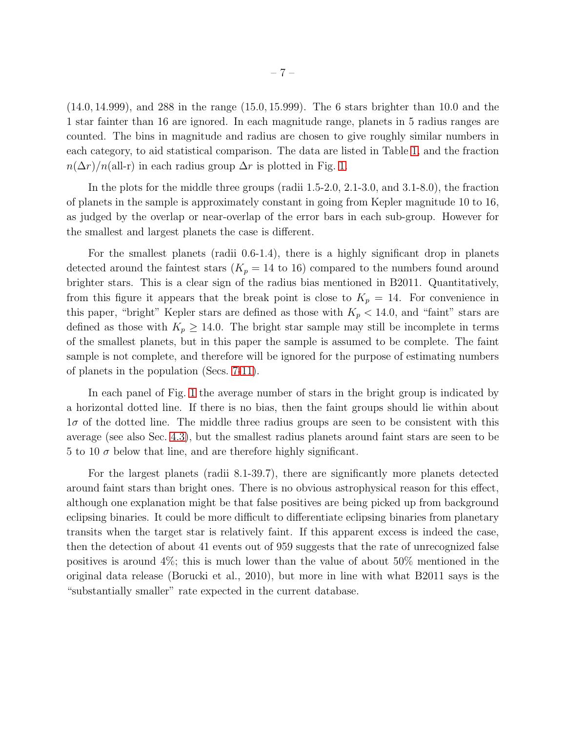(14.0, 14.999), and 288 in the range (15.0, 15.999). The 6 stars brighter than 10.0 and the 1 star fainter than 16 are ignored. In each magnitude range, planets in 5 radius ranges are counted. The bins in magnitude and radius are chosen to give roughly similar numbers in each category, to aid statistical comparison. The data are listed in Table [1,](#page-18-0) and the fraction  $n(\Delta r)/n$ (all-r) in each radius group  $\Delta r$  is plotted in Fig. [1.](#page-22-0)

In the plots for the middle three groups (radii 1.5-2.0, 2.1-3.0, and 3.1-8.0), the fraction of planets in the sample is approximately constant in going from Kepler magnitude 10 to 16, as judged by the overlap or near-overlap of the error bars in each sub-group. However for the smallest and largest planets the case is different.

For the smallest planets (radii 0.6-1.4), there is a highly significant drop in planets detected around the faintest stars  $(K_p = 14 \text{ to } 16)$  compared to the numbers found around brighter stars. This is a clear sign of the radius bias mentioned in B2011. Quantitatively, from this figure it appears that the break point is close to  $K_p = 14$ . For convenience in this paper, "bright" Kepler stars are defined as those with  $K_p < 14.0$ , and "faint" stars are defined as those with  $K_p \geq 14.0$ . The bright star sample may still be incomplete in terms of the smallest planets, but in this paper the sample is assumed to be complete. The faint sample is not complete, and therefore will be ignored for the purpose of estimating numbers of planets in the population (Secs. [7-](#page-10-0)[11\)](#page-15-0).

In each panel of Fig. [1](#page-22-0) the average number of stars in the bright group is indicated by a horizontal dotted line. If there is no bias, then the faint groups should lie within about  $1\sigma$  of the dotted line. The middle three radius groups are seen to be consistent with this average (see also Sec. [4.3\)](#page-7-0), but the smallest radius planets around faint stars are seen to be 5 to 10  $\sigma$  below that line, and are therefore highly significant.

For the largest planets (radii 8.1-39.7), there are significantly more planets detected around faint stars than bright ones. There is no obvious astrophysical reason for this effect, although one explanation might be that false positives are being picked up from background eclipsing binaries. It could be more difficult to differentiate eclipsing binaries from planetary transits when the target star is relatively faint. If this apparent excess is indeed the case, then the detection of about 41 events out of 959 suggests that the rate of unrecognized false positives is around 4%; this is much lower than the value of about 50% mentioned in the original data release (Borucki et al., 2010), but more in line with what B2011 says is the "substantially smaller" rate expected in the current database.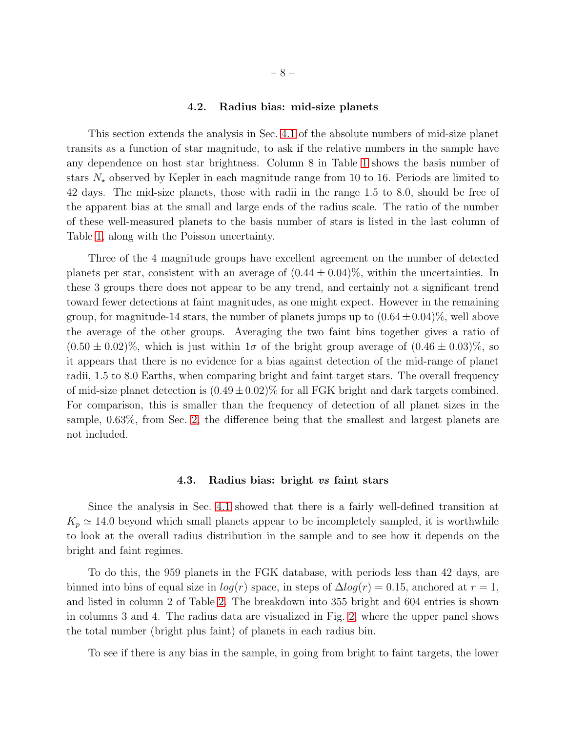#### 4.2. Radius bias: mid-size planets

<span id="page-7-1"></span>This section extends the analysis in Sec. [4.1](#page-5-1) of the absolute numbers of mid-size planet transits as a function of star magnitude, to ask if the relative numbers in the sample have any dependence on host star brightness. Column 8 in Table [1](#page-18-0) shows the basis number of stars  $N_{\star}$  observed by Kepler in each magnitude range from 10 to 16. Periods are limited to 42 days. The mid-size planets, those with radii in the range 1.5 to 8.0, should be free of the apparent bias at the small and large ends of the radius scale. The ratio of the number of these well-measured planets to the basis number of stars is listed in the last column of Table [1,](#page-18-0) along with the Poisson uncertainty.

Three of the 4 magnitude groups have excellent agreement on the number of detected planets per star, consistent with an average of  $(0.44 \pm 0.04)\%$ , within the uncertainties. In these 3 groups there does not appear to be any trend, and certainly not a significant trend toward fewer detections at faint magnitudes, as one might expect. However in the remaining group, for magnitude-14 stars, the number of planets jumps up to  $(0.64 \pm 0.04)\%$ , well above the average of the other groups. Averaging the two faint bins together gives a ratio of  $(0.50 \pm 0.02)\%$ , which is just within  $1\sigma$  of the bright group average of  $(0.46 \pm 0.03)\%$ , so it appears that there is no evidence for a bias against detection of the mid-range of planet radii, 1.5 to 8.0 Earths, when comparing bright and faint target stars. The overall frequency of mid-size planet detection is  $(0.49 \pm 0.02)\%$  for all FGK bright and dark targets combined. For comparison, this is smaller than the frequency of detection of all planet sizes in the sample, 0.63%, from Sec. [2,](#page-1-0) the difference being that the smallest and largest planets are not included.

#### 4.3. Radius bias: bright vs faint stars

<span id="page-7-0"></span>Since the analysis in Sec. [4.1](#page-5-1) showed that there is a fairly well-defined transition at  $K_p \simeq 14.0$  beyond which small planets appear to be incompletely sampled, it is worthwhile to look at the overall radius distribution in the sample and to see how it depends on the bright and faint regimes.

To do this, the 959 planets in the FGK database, with periods less than 42 days, are binned into bins of equal size in  $log(r)$  space, in steps of  $\Delta log(r) = 0.15$ , anchored at  $r = 1$ , and listed in column 2 of Table [2.](#page-18-1) The breakdown into 355 bright and 604 entries is shown in columns 3 and 4. The radius data are visualized in Fig. [2,](#page-23-0) where the upper panel shows the total number (bright plus faint) of planets in each radius bin.

To see if there is any bias in the sample, in going from bright to faint targets, the lower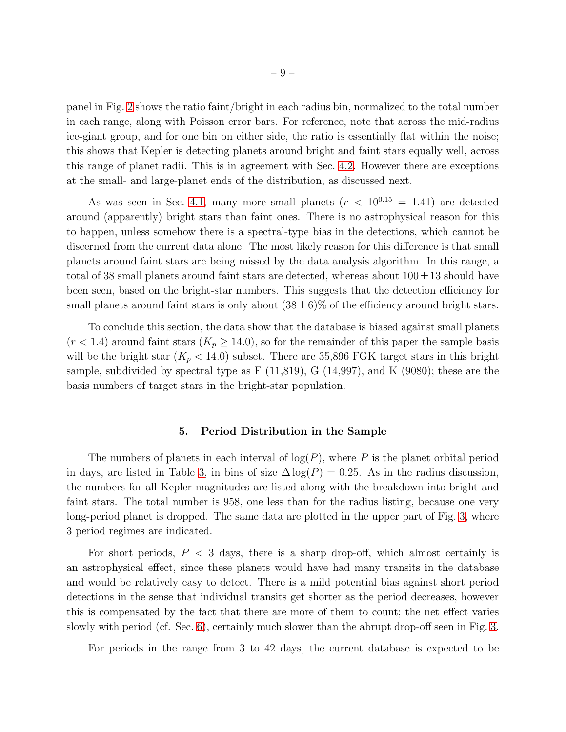panel in Fig. [2](#page-23-0) shows the ratio faint/bright in each radius bin, normalized to the total number in each range, along with Poisson error bars. For reference, note that across the mid-radius ice-giant group, and for one bin on either side, the ratio is essentially flat within the noise; this shows that Kepler is detecting planets around bright and faint stars equally well, across this range of planet radii. This is in agreement with Sec. [4.2.](#page-7-1) However there are exceptions at the small- and large-planet ends of the distribution, as discussed next.

As was seen in Sec. [4.1,](#page-5-1) many more small planets  $(r < 10^{0.15} = 1.41)$  are detected around (apparently) bright stars than faint ones. There is no astrophysical reason for this to happen, unless somehow there is a spectral-type bias in the detections, which cannot be discerned from the current data alone. The most likely reason for this difference is that small planets around faint stars are being missed by the data analysis algorithm. In this range, a total of 38 small planets around faint stars are detected, whereas about  $100 \pm 13$  should have been seen, based on the bright-star numbers. This suggests that the detection efficiency for small planets around faint stars is only about  $(38 \pm 6)\%$  of the efficiency around bright stars.

To conclude this section, the data show that the database is biased against small planets  $(r < 1.4)$  around faint stars  $(K_p \ge 14.0)$ , so for the remainder of this paper the sample basis will be the bright star  $(K_p < 14.0)$  subset. There are 35,896 FGK target stars in this bright sample, subdivided by spectral type as  $F(11,819)$ , G $(14,997)$ , and K $(9080)$ ; these are the basis numbers of target stars in the bright-star population.

#### 5. Period Distribution in the Sample

<span id="page-8-0"></span>The numbers of planets in each interval of  $log(P)$ , where P is the planet orbital period in days, are listed in Table [3,](#page-19-0) in bins of size  $\Delta \log(P) = 0.25$ . As in the radius discussion, the numbers for all Kepler magnitudes are listed along with the breakdown into bright and faint stars. The total number is 958, one less than for the radius listing, because one very long-period planet is dropped. The same data are plotted in the upper part of Fig. [3,](#page-24-0) where 3 period regimes are indicated.

For short periods,  $P < 3$  days, there is a sharp drop-off, which almost certainly is an astrophysical effect, since these planets would have had many transits in the database and would be relatively easy to detect. There is a mild potential bias against short period detections in the sense that individual transits get shorter as the period decreases, however this is compensated by the fact that there are more of them to count; the net effect varies slowly with period (cf. Sec. [6\)](#page-9-0), certainly much slower than the abrupt drop-off seen in Fig. [3.](#page-24-0)

For periods in the range from 3 to 42 days, the current database is expected to be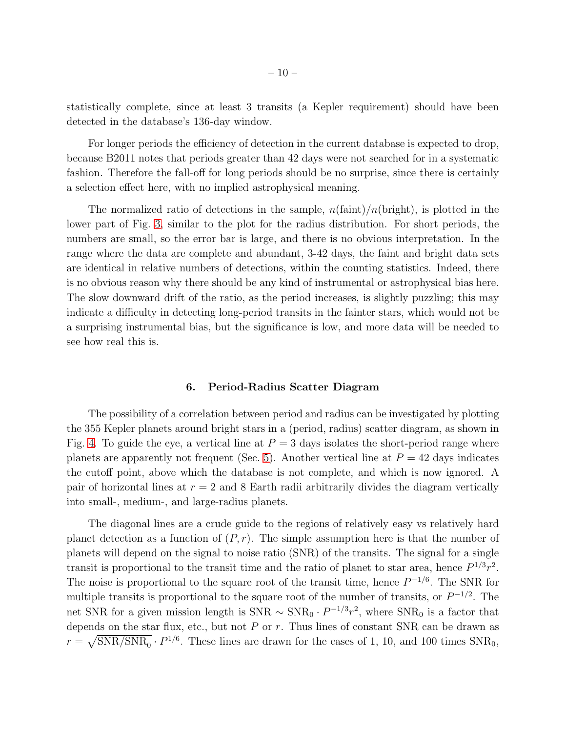statistically complete, since at least 3 transits (a Kepler requirement) should have been detected in the database's 136-day window.

For longer periods the efficiency of detection in the current database is expected to drop, because B2011 notes that periods greater than 42 days were not searched for in a systematic fashion. Therefore the fall-off for long periods should be no surprise, since there is certainly a selection effect here, with no implied astrophysical meaning.

The normalized ratio of detections in the sample,  $n(\text{faint})/n(\text{bright})$ , is plotted in the lower part of Fig. [3,](#page-24-0) similar to the plot for the radius distribution. For short periods, the numbers are small, so the error bar is large, and there is no obvious interpretation. In the range where the data are complete and abundant, 3-42 days, the faint and bright data sets are identical in relative numbers of detections, within the counting statistics. Indeed, there is no obvious reason why there should be any kind of instrumental or astrophysical bias here. The slow downward drift of the ratio, as the period increases, is slightly puzzling; this may indicate a difficulty in detecting long-period transits in the fainter stars, which would not be a surprising instrumental bias, but the significance is low, and more data will be needed to see how real this is.

#### 6. Period-Radius Scatter Diagram

<span id="page-9-0"></span>The possibility of a correlation between period and radius can be investigated by plotting the 355 Kepler planets around bright stars in a (period, radius) scatter diagram, as shown in Fig. [4.](#page-25-0) To guide the eye, a vertical line at  $P = 3$  days isolates the short-period range where planets are apparently not frequent (Sec. [5\)](#page-8-0). Another vertical line at  $P = 42$  days indicates the cutoff point, above which the database is not complete, and which is now ignored. A pair of horizontal lines at  $r = 2$  and 8 Earth radii arbitrarily divides the diagram vertically into small-, medium-, and large-radius planets.

The diagonal lines are a crude guide to the regions of relatively easy vs relatively hard planet detection as a function of  $(P, r)$ . The simple assumption here is that the number of planets will depend on the signal to noise ratio (SNR) of the transits. The signal for a single transit is proportional to the transit time and the ratio of planet to star area, hence  $P^{1/3}r^2$ . The noise is proportional to the square root of the transit time, hence  $P^{-1/6}$ . The SNR for multiple transits is proportional to the square root of the number of transits, or  $P^{-1/2}$ . The net SNR for a given mission length is  $SNR \sim SNR_0 \cdot P^{-1/3}r^2$ , where  $SNR_0$  is a factor that depends on the star flux, etc., but not  $P$  or  $r$ . Thus lines of constant SNR can be drawn as  $r = \sqrt{\text{SNR}/\text{SNR}_0} \cdot P^{1/6}$ . These lines are drawn for the cases of 1, 10, and 100 times  $\text{SNR}_0$ ,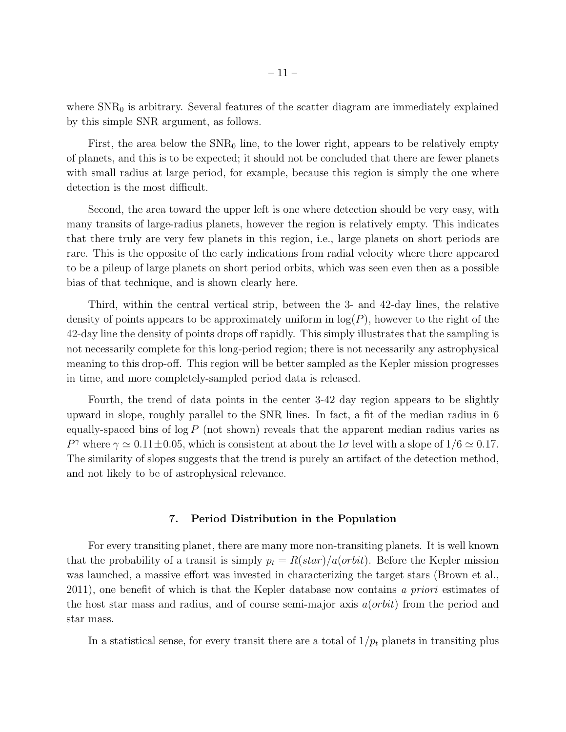where  $SNR<sub>0</sub>$  is arbitrary. Several features of the scatter diagram are immediately explained by this simple SNR argument, as follows.

First, the area below the  $SNR_0$  line, to the lower right, appears to be relatively empty of planets, and this is to be expected; it should not be concluded that there are fewer planets with small radius at large period, for example, because this region is simply the one where detection is the most difficult.

Second, the area toward the upper left is one where detection should be very easy, with many transits of large-radius planets, however the region is relatively empty. This indicates that there truly are very few planets in this region, i.e., large planets on short periods are rare. This is the opposite of the early indications from radial velocity where there appeared to be a pileup of large planets on short period orbits, which was seen even then as a possible bias of that technique, and is shown clearly here.

Third, within the central vertical strip, between the 3- and 42-day lines, the relative density of points appears to be approximately uniform in  $log(P)$ , however to the right of the 42-day line the density of points drops off rapidly. This simply illustrates that the sampling is not necessarily complete for this long-period region; there is not necessarily any astrophysical meaning to this drop-off. This region will be better sampled as the Kepler mission progresses in time, and more completely-sampled period data is released.

Fourth, the trend of data points in the center 3-42 day region appears to be slightly upward in slope, roughly parallel to the SNR lines. In fact, a fit of the median radius in 6 equally-spaced bins of  $log P$  (not shown) reveals that the apparent median radius varies as P<sup> $\gamma$ </sup> where  $\gamma \simeq 0.11 \pm 0.05$ , which is consistent at about the 1 $\sigma$  level with a slope of 1/6  $\simeq 0.17$ . The similarity of slopes suggests that the trend is purely an artifact of the detection method, and not likely to be of astrophysical relevance.

## 7. Period Distribution in the Population

<span id="page-10-0"></span>For every transiting planet, there are many more non-transiting planets. It is well known that the probability of a transit is simply  $p_t = R(stat)/a(orbit)$ . Before the Kepler mission was launched, a massive effort was invested in characterizing the target stars (Brown et al., 2011), one benefit of which is that the Kepler database now contains *a priori* estimates of the host star mass and radius, and of course semi-major axis  $a(orbit)$  from the period and star mass.

In a statistical sense, for every transit there are a total of  $1/p_t$  planets in transiting plus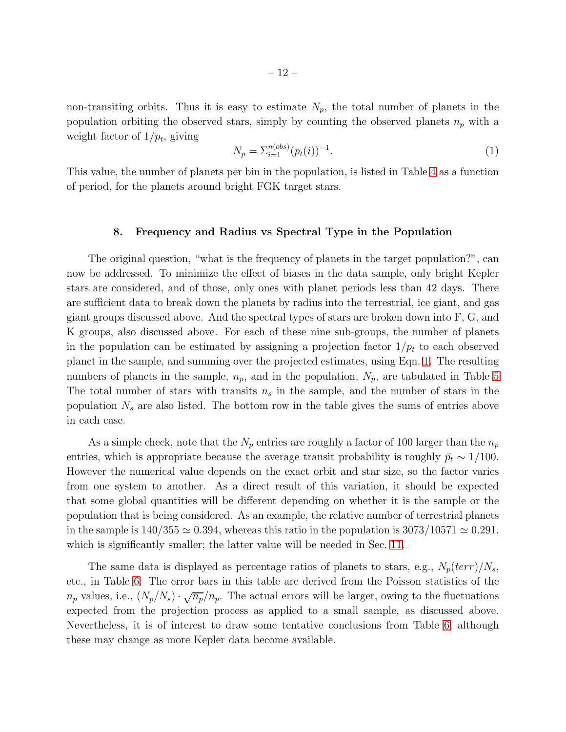non-transiting orbits. Thus it is easy to estimate  $N_p$ , the total number of planets in the population orbiting the observed stars, simply by counting the observed planets  $n_p$  with a weight factor of  $1/p_t$ , giving

<span id="page-11-1"></span>
$$
N_p = \sum_{i=1}^{n(obs)} (p_t(i))^{-1}.
$$
\n(1)

<span id="page-11-0"></span>This value, the number of planets per bin in the population, is listed in Table [4](#page-20-0) as a function of period, for the planets around bright FGK target stars.

## 8. Frequency and Radius vs Spectral Type in the Population

The original question, "what is the frequency of planets in the target population?", can now be addressed. To minimize the effect of biases in the data sample, only bright Kepler stars are considered, and of those, only ones with planet periods less than 42 days. There are sufficient data to break down the planets by radius into the terrestrial, ice giant, and gas giant groups discussed above. And the spectral types of stars are broken down into F, G, and K groups, also discussed above. For each of these nine sub-groups, the number of planets in the population can be estimated by assigning a projection factor  $1/p_t$  to each observed planet in the sample, and summing over the projected estimates, using Eqn. [1.](#page-11-1) The resulting numbers of planets in the sample,  $n_p$ , and in the population,  $N_p$ , are tabulated in Table [5](#page-20-1) The total number of stars with transits  $n_s$  in the sample, and the number of stars in the population  $N<sub>s</sub>$  are also listed. The bottom row in the table gives the sums of entries above in each case.

As a simple check, note that the  $N_p$  entries are roughly a factor of 100 larger than the  $n_p$ entries, which is appropriate because the average transit probability is roughly  $\bar{p}_t \sim 1/100$ . However the numerical value depends on the exact orbit and star size, so the factor varies from one system to another. As a direct result of this variation, it should be expected that some global quantities will be different depending on whether it is the sample or the population that is being considered. As an example, the relative number of terrestrial planets in the sample is  $140/355 \simeq 0.394$ , whereas this ratio in the population is  $3073/10571 \simeq 0.291$ , which is significantly smaller; the latter value will be needed in Sec. [11.](#page-15-0)

The same data is displayed as percentage ratios of planets to stars, e.g.,  $N_p(terr)/N_s$ , etc., in Table [6.](#page-21-0) The error bars in this table are derived from the Poisson statistics of the  $n_p$  values, i.e.,  $(N_p/N_s) \cdot \sqrt{n_p}/n_p$ . The actual errors will be larger, owing to the fluctuations expected from the projection process as applied to a small sample, as discussed above. Nevertheless, it is of interest to draw some tentative conclusions from Table [6,](#page-21-0) although these may change as more Kepler data become available.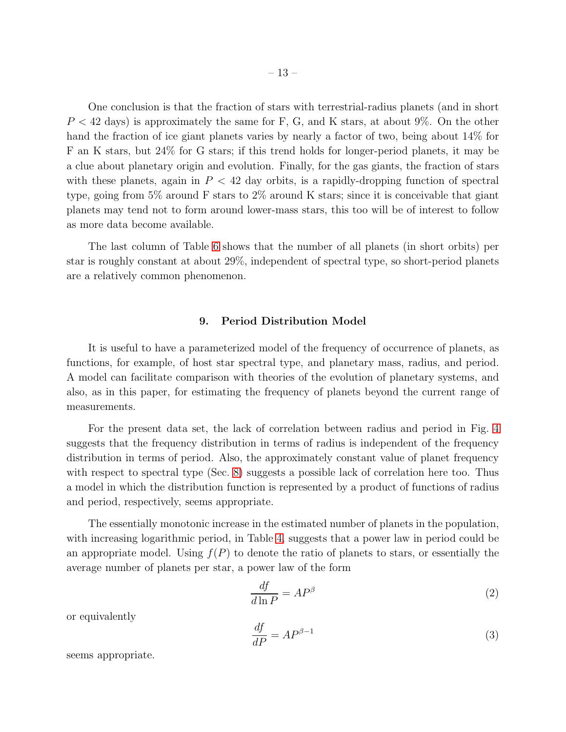– 13 –

 $P < 42$  days) is approximately the same for F, G, and K stars, at about 9%. On the other hand the fraction of ice giant planets varies by nearly a factor of two, being about 14% for F an K stars, but 24% for G stars; if this trend holds for longer-period planets, it may be a clue about planetary origin and evolution. Finally, for the gas giants, the fraction of stars with these planets, again in  $P < 42$  day orbits, is a rapidly-dropping function of spectral type, going from 5% around F stars to 2% around K stars; since it is conceivable that giant planets may tend not to form around lower-mass stars, this too will be of interest to follow as more data become available.

The last column of Table [6](#page-21-0) shows that the number of all planets (in short orbits) per star is roughly constant at about 29%, independent of spectral type, so short-period planets are a relatively common phenomenon.

## 9. Period Distribution Model

<span id="page-12-0"></span>It is useful to have a parameterized model of the frequency of occurrence of planets, as functions, for example, of host star spectral type, and planetary mass, radius, and period. A model can facilitate comparison with theories of the evolution of planetary systems, and also, as in this paper, for estimating the frequency of planets beyond the current range of measurements.

For the present data set, the lack of correlation between radius and period in Fig. [4](#page-25-0) suggests that the frequency distribution in terms of radius is independent of the frequency distribution in terms of period. Also, the approximately constant value of planet frequency with respect to spectral type (Sec. [8\)](#page-11-0) suggests a possible lack of correlation here too. Thus a model in which the distribution function is represented by a product of functions of radius and period, respectively, seems appropriate.

The essentially monotonic increase in the estimated number of planets in the population, with increasing logarithmic period, in Table [4,](#page-20-0) suggests that a power law in period could be an appropriate model. Using  $f(P)$  to denote the ratio of planets to stars, or essentially the average number of planets per star, a power law of the form

<span id="page-12-1"></span>
$$
\frac{df}{d\ln P} = AP^{\beta} \tag{2}
$$

or equivalently

$$
\frac{df}{dP} = AP^{\beta - 1} \tag{3}
$$

seems appropriate.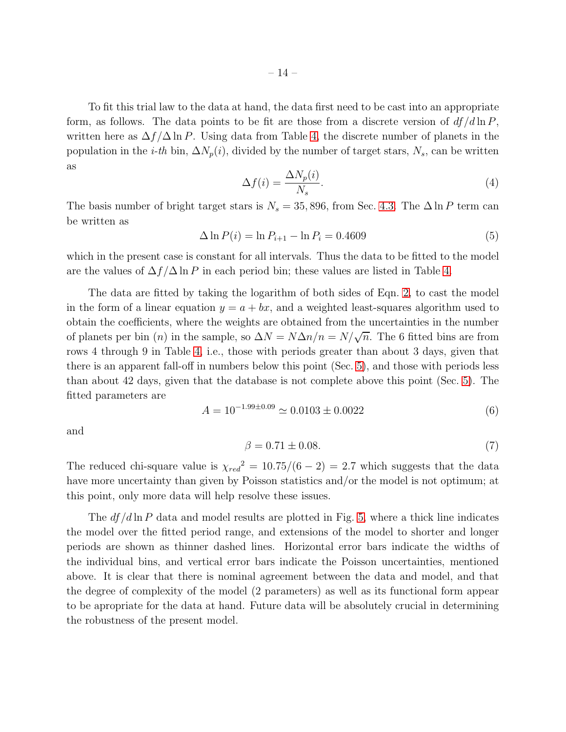To fit this trial law to the data at hand, the data first need to be cast into an appropriate form, as follows. The data points to be fit are those from a discrete version of  $df/d\ln P$ , written here as  $\Delta f/\Delta \ln P$ . Using data from Table [4,](#page-20-0) the discrete number of planets in the population in the *i-th* bin,  $\Delta N_p(i)$ , divided by the number of target stars,  $N_s$ , can be written as

$$
\Delta f(i) = \frac{\Delta N_p(i)}{N_s}.\tag{4}
$$

The basis number of bright target stars is  $N_s = 35,896$ , from Sec. [4.3.](#page-7-0) The  $\Delta \ln P$  term can be written as

$$
\Delta \ln P(i) = \ln P_{i+1} - \ln P_i = 0.4609
$$
\n(5)

which in the present case is constant for all intervals. Thus the data to be fitted to the model are the values of  $\Delta f/\Delta \ln P$  in each period bin; these values are listed in Table [4.](#page-20-0)

The data are fitted by taking the logarithm of both sides of Eqn. [2,](#page-12-1) to cast the model in the form of a linear equation  $y = a + bx$ , and a weighted least-squares algorithm used to obtain the coefficients, where the weights are obtained from the uncertainties in the number of planets per bin (n) in the sample, so  $\Delta N = N \Delta n/n = N/\sqrt{n}$ . The 6 fitted bins are from rows 4 through 9 in Table [4,](#page-20-0) i.e., those with periods greater than about 3 days, given that there is an apparent fall-off in numbers below this point (Sec. [5\)](#page-8-0), and those with periods less than about 42 days, given that the database is not complete above this point (Sec. [5\)](#page-8-0). The fitted parameters are

$$
A = 10^{-1.99 \pm 0.09} \simeq 0.0103 \pm 0.0022 \tag{6}
$$

and

$$
\beta = 0.71 \pm 0.08. \tag{7}
$$

The reduced chi-square value is  $\chi_{red}^2 = 10.75/(6-2) = 2.7$  which suggests that the data have more uncertainty than given by Poisson statistics and/or the model is not optimum; at this point, only more data will help resolve these issues.

The  $df/d\ln P$  data and model results are plotted in Fig. [5,](#page-26-0) where a thick line indicates the model over the fitted period range, and extensions of the model to shorter and longer periods are shown as thinner dashed lines. Horizontal error bars indicate the widths of the individual bins, and vertical error bars indicate the Poisson uncertainties, mentioned above. It is clear that there is nominal agreement between the data and model, and that the degree of complexity of the model (2 parameters) as well as its functional form appear to be apropriate for the data at hand. Future data will be absolutely crucial in determining the robustness of the present model.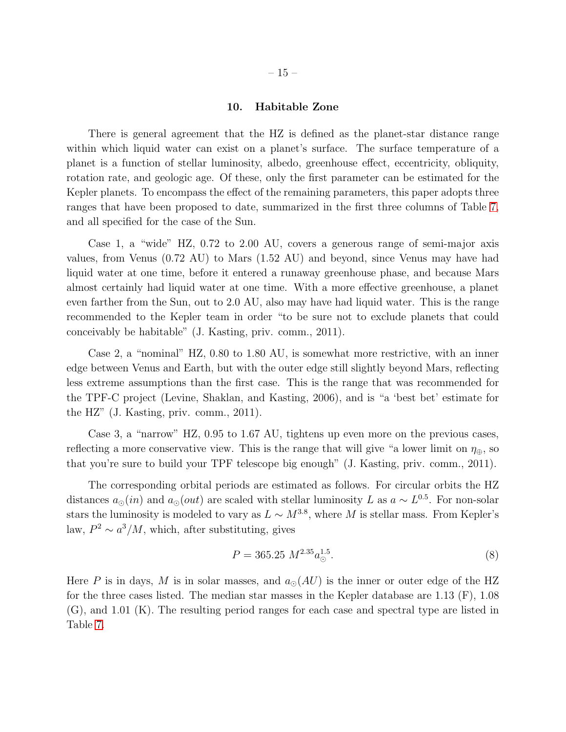## 10. Habitable Zone

<span id="page-14-0"></span>There is general agreement that the HZ is defined as the planet-star distance range within which liquid water can exist on a planet's surface. The surface temperature of a planet is a function of stellar luminosity, albedo, greenhouse effect, eccentricity, obliquity, rotation rate, and geologic age. Of these, only the first parameter can be estimated for the Kepler planets. To encompass the effect of the remaining parameters, this paper adopts three ranges that have been proposed to date, summarized in the first three columns of Table [7,](#page-21-1) and all specified for the case of the Sun.

Case 1, a "wide" HZ, 0.72 to 2.00 AU, covers a generous range of semi-major axis values, from Venus (0.72 AU) to Mars (1.52 AU) and beyond, since Venus may have had liquid water at one time, before it entered a runaway greenhouse phase, and because Mars almost certainly had liquid water at one time. With a more effective greenhouse, a planet even farther from the Sun, out to 2.0 AU, also may have had liquid water. This is the range recommended to the Kepler team in order "to be sure not to exclude planets that could conceivably be habitable" (J. Kasting, priv. comm., 2011).

Case 2, a "nominal" HZ, 0.80 to 1.80 AU, is somewhat more restrictive, with an inner edge between Venus and Earth, but with the outer edge still slightly beyond Mars, reflecting less extreme assumptions than the first case. This is the range that was recommended for the TPF-C project (Levine, Shaklan, and Kasting, 2006), and is "a 'best bet' estimate for the HZ" (J. Kasting, priv. comm., 2011).

Case 3, a "narrow" HZ, 0.95 to 1.67 AU, tightens up even more on the previous cases, reflecting a more conservative view. This is the range that will give "a lower limit on  $\eta_{\oplus}$ , so that you're sure to build your TPF telescope big enough" (J. Kasting, priv. comm., 2011).

The corresponding orbital periods are estimated as follows. For circular orbits the HZ distances  $a_{\odot}(in)$  and  $a_{\odot}(out)$  are scaled with stellar luminosity L as  $a \sim L^{0.5}$ . For non-solar stars the luminosity is modeled to vary as  $L \sim M^{3.8}$ , where M is stellar mass. From Kepler's law,  $P^2 \sim a^3/M$ , which, after substituting, gives

$$
P = 365.25 \ M^{2.35} a_{\odot}^{1.5}.
$$
 (8)

Here P is in days, M is in solar masses, and  $a_{\odot}(AU)$  is the inner or outer edge of the HZ for the three cases listed. The median star masses in the Kepler database are 1.13 (F), 1.08 (G), and 1.01 (K). The resulting period ranges for each case and spectral type are listed in Table [7.](#page-21-1)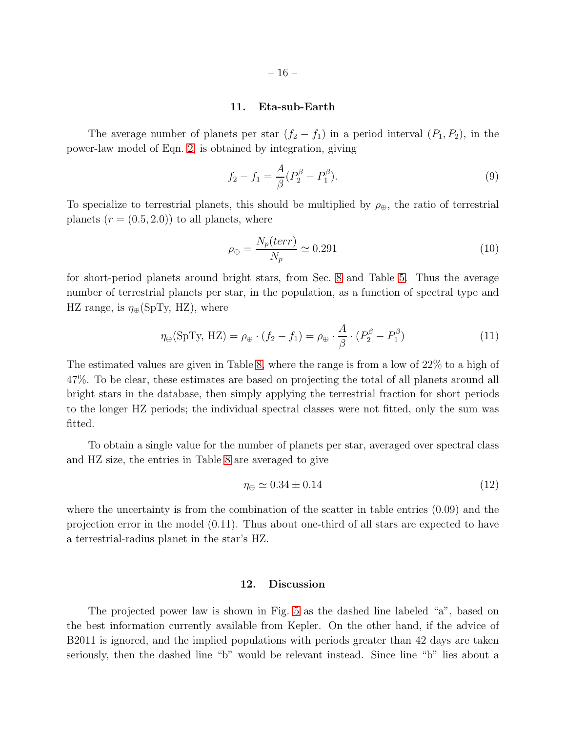#### 11. Eta-sub-Earth

<span id="page-15-0"></span>The average number of planets per star  $(f_2 - f_1)$  in a period interval  $(P_1, P_2)$ , in the power-law model of Eqn. [2,](#page-12-1) is obtained by integration, giving

$$
f_2 - f_1 = \frac{A}{\beta} (P_2^{\beta} - P_1^{\beta}).
$$
\n(9)

To specialize to terrestrial planets, this should be multiplied by  $\rho_{\oplus}$ , the ratio of terrestrial planets  $(r = (0.5, 2.0))$  to all planets, where

$$
\rho_{\oplus} = \frac{N_p(\text{terr})}{N_p} \simeq 0.291\tag{10}
$$

for short-period planets around bright stars, from Sec. [8](#page-11-0) and Table [5.](#page-20-1) Thus the average number of terrestrial planets per star, in the population, as a function of spectral type and HZ range, is  $\eta_{\oplus}$ (SpTy, HZ), where

$$
\eta_{\oplus}(\text{SpTy, HZ}) = \rho_{\oplus} \cdot (f_2 - f_1) = \rho_{\oplus} \cdot \frac{A}{\beta} \cdot (P_2^{\beta} - P_1^{\beta}) \tag{11}
$$

The estimated values are given in Table [8,](#page-21-2) where the range is from a low of 22% to a high of 47%. To be clear, these estimates are based on projecting the total of all planets around all bright stars in the database, then simply applying the terrestrial fraction for short periods to the longer HZ periods; the individual spectral classes were not fitted, only the sum was fitted.

To obtain a single value for the number of planets per star, averaged over spectral class and HZ size, the entries in Table [8](#page-21-2) are averaged to give

$$
\eta_{\oplus} \simeq 0.34 \pm 0.14 \tag{12}
$$

where the uncertainty is from the combination of the scatter in table entries (0.09) and the projection error in the model (0.11). Thus about one-third of all stars are expected to have a terrestrial-radius planet in the star's HZ.

## 12. Discussion

The projected power law is shown in Fig. [5](#page-26-0) as the dashed line labeled "a", based on the best information currently available from Kepler. On the other hand, if the advice of B2011 is ignored, and the implied populations with periods greater than 42 days are taken seriously, then the dashed line "b" would be relevant instead. Since line "b" lies about a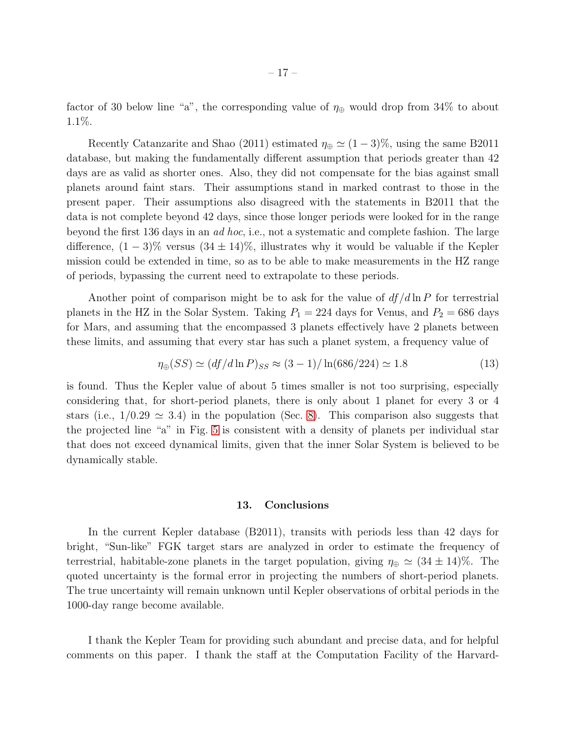factor of 30 below line "a", the corresponding value of  $\eta_{\oplus}$  would drop from 34% to about 1.1%.

Recently Catanzarite and Shao (2011) estimated  $\eta_{\oplus} \simeq (1-3)\%$ , using the same B2011 database, but making the fundamentally different assumption that periods greater than 42 days are as valid as shorter ones. Also, they did not compensate for the bias against small planets around faint stars. Their assumptions stand in marked contrast to those in the present paper. Their assumptions also disagreed with the statements in B2011 that the data is not complete beyond 42 days, since those longer periods were looked for in the range beyond the first 136 days in an *ad hoc*, i.e., not a systematic and complete fashion. The large difference,  $(1-3)\%$  versus  $(34 \pm 14)\%$ , illustrates why it would be valuable if the Kepler mission could be extended in time, so as to be able to make measurements in the HZ range of periods, bypassing the current need to extrapolate to these periods.

Another point of comparison might be to ask for the value of  $df/d\ln P$  for terrestrial planets in the HZ in the Solar System. Taking  $P_1 = 224$  days for Venus, and  $P_2 = 686$  days for Mars, and assuming that the encompassed 3 planets effectively have 2 planets between these limits, and assuming that every star has such a planet system, a frequency value of

$$
\eta_{\oplus}(SS) \simeq (df/d\ln P)_{SS} \approx (3-1)/\ln(686/224) \simeq 1.8
$$
 (13)

is found. Thus the Kepler value of about 5 times smaller is not too surprising, especially considering that, for short-period planets, there is only about 1 planet for every 3 or 4 stars (i.e.,  $1/0.29 \simeq 3.4$ ) in the population (Sec. [8\)](#page-11-0). This comparison also suggests that the projected line "a" in Fig. [5](#page-26-0) is consistent with a density of planets per individual star that does not exceed dynamical limits, given that the inner Solar System is believed to be dynamically stable.

#### 13. Conclusions

In the current Kepler database (B2011), transits with periods less than 42 days for bright, "Sun-like" FGK target stars are analyzed in order to estimate the frequency of terrestrial, habitable-zone planets in the target population, giving  $\eta_{\oplus} \simeq (34 \pm 14)\%$ . The quoted uncertainty is the formal error in projecting the numbers of short-period planets. The true uncertainty will remain unknown until Kepler observations of orbital periods in the 1000-day range become available.

I thank the Kepler Team for providing such abundant and precise data, and for helpful comments on this paper. I thank the staff at the Computation Facility of the Harvard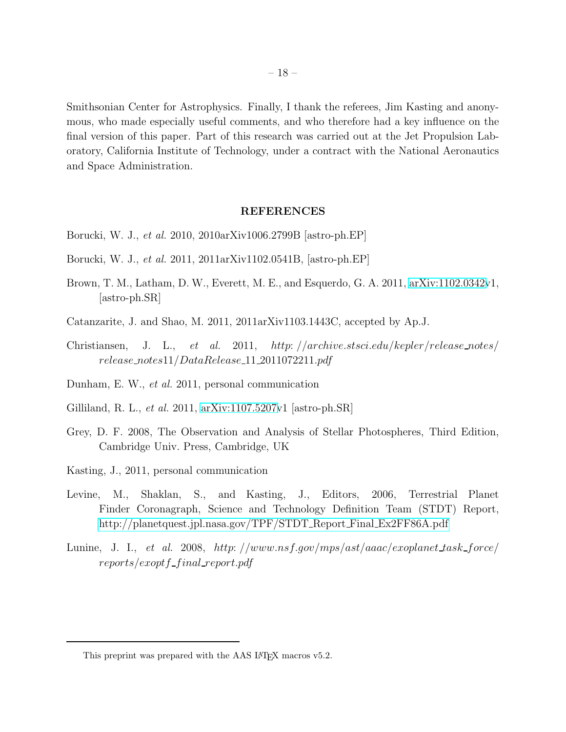Smithsonian Center for Astrophysics. Finally, I thank the referees, Jim Kasting and anonymous, who made especially useful comments, and who therefore had a key influence on the final version of this paper. Part of this research was carried out at the Jet Propulsion Laboratory, California Institute of Technology, under a contract with the National Aeronautics and Space Administration.

### REFERENCES

- Borucki, W. J., *et al.* 2010, 2010arXiv1006.2799B [astro-ph.EP]
- Borucki, W. J., *et al.* 2011, 2011arXiv1102.0541B, [astro-ph.EP]
- Brown, T. M., Latham, D. W., Everett, M. E., and Esquerdo, G. A. 2011, [arXiv:1102.0342v](http://arxiv.org/abs/1102.0342)1, [astro-ph.SR]
- Catanzarite, J. and Shao, M. 2011, 2011arXiv1103.1443C, accepted by Ap.J.
- Christiansen, J. L., *et al.* 2011, http: //archive.stsci.edu/kepler/release notes/ release notes11/DataRelease 11 2011072211.pdf
- Dunham, E. W., *et al.* 2011, personal communication
- Gilliland, R. L., *et al.* 2011, [arXiv:1107.5207v](http://arxiv.org/abs/1107.5207)1 [astro-ph.SR]
- Grey, D. F. 2008, The Observation and Analysis of Stellar Photospheres, Third Edition, Cambridge Univ. Press, Cambridge, UK
- Kasting, J., 2011, personal communication
- Levine, M., Shaklan, S., and Kasting, J., Editors, 2006, Terrestrial Planet Finder Coronagraph, Science and Technology Definition Team (STDT) Report, [http://planetquest.jpl.nasa.gov/TPF/STDT](http://planetquest.jpl.nasa.gov/TPF/STDT_Report_Final_Ex2FF86A.pdf) Report Final Ex2FF86A.pdf
- Lunine, J. I., *et al.* 2008, http://www.nsf.gov/mps/ast/aaac/exoplanet\_task\_force/  $reports/except$  f inal report.pdf

This preprint was prepared with the AAS IATEX macros v5.2.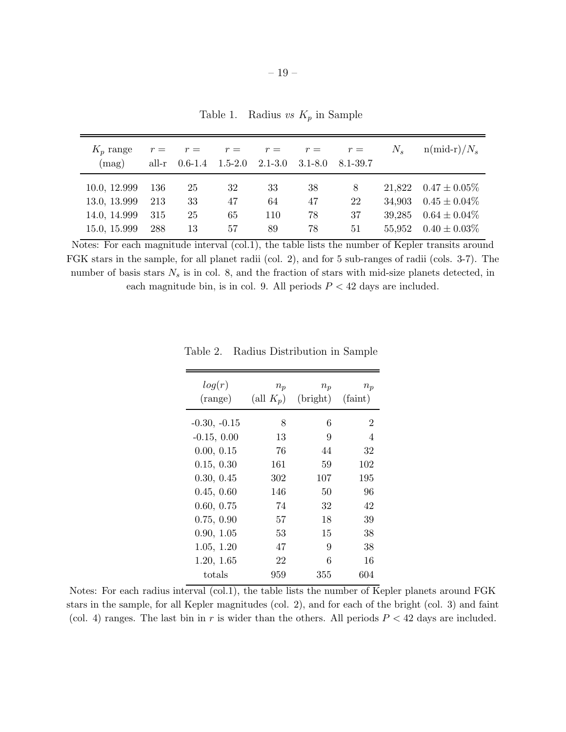<span id="page-18-0"></span>Table 1. Radius *vs*  $K_p$  in Sample

| $K_p$ range<br>(mag) | all-r | $r = r =$<br>$0.6-1.4$ $1.5-2.0$ $2.1-3.0$ |    | $r = r = r =$ | $3.1 - 8.0$ | $r =$<br>8.1-39.7 | $N_{s}$ | $n(mid-r)/N_s$           |
|----------------------|-------|--------------------------------------------|----|---------------|-------------|-------------------|---------|--------------------------|
| 10.0, 12.999         | -136  | 25                                         | 32 | 33            | 38          | 8                 |         | 21,822 $0.47 \pm 0.05\%$ |
| 13.0, 13.999         | 213   | 33                                         | 47 | 64            | 47          | 22                |         | 34,903 $0.45 \pm 0.04\%$ |
| 14.0, 14.999         | 315   | 25                                         | 65 | 110           | 78          | 37                | 39,285  | $0.64 \pm 0.04\%$        |
| 15.0, 15.999         | 288   | 13                                         | 57 | 89            | 78          | 51                |         | 55,952 $0.40 \pm 0.03\%$ |

Notes: For each magnitude interval (col.1), the table lists the number of Kepler transits around FGK stars in the sample, for all planet radii (col. 2), and for 5 sub-ranges of radii (cols. 3-7). The number of basis stars  $N_s$  is in col. 8, and the fraction of stars with mid-size planets detected, in each magnitude bin, is in col. 9. All periods  $P < 42$  days are included.

<span id="page-18-1"></span>

| log(r)<br>$(\text{range})$ | $n_p$<br>(all $K_p$ ) | $n_p$<br>(bright) | $n_p$<br>(faint) |
|----------------------------|-----------------------|-------------------|------------------|
| $-0.30, -0.15$             | 8                     | 6                 | 2                |
| $-0.15, 0.00$              | 13                    | 9                 | 4                |
| 0.00, 0.15                 | 76                    | 44                | 32               |
| 0.15, 0.30                 | 161                   | 59                | 102              |
| 0.30, 0.45                 | 302                   | 107               | 195              |
| 0.45, 0.60                 | 146                   | 50                | 96               |
| 0.60, 0.75                 | 74                    | 32                | 42               |
| 0.75, 0.90                 | 57                    | 18                | 39               |
| 0.90, 1.05                 | 53                    | 15                | 38               |
| 1.05, 1.20                 | 47                    | 9                 | 38               |
| 1.20, 1.65                 | 22                    | 6                 | 16               |
| totals                     | 959                   | 355               | 604              |

Table 2. Radius Distribution in Sample

Notes: For each radius interval  $\text{(col.1)}$ , the table lists the number of Kepler planets around FGK stars in the sample, for all Kepler magnitudes (col. 2), and for each of the bright (col. 3) and faint (col. 4) ranges. The last bin in r is wider than the others. All periods  $P < 42$  days are included.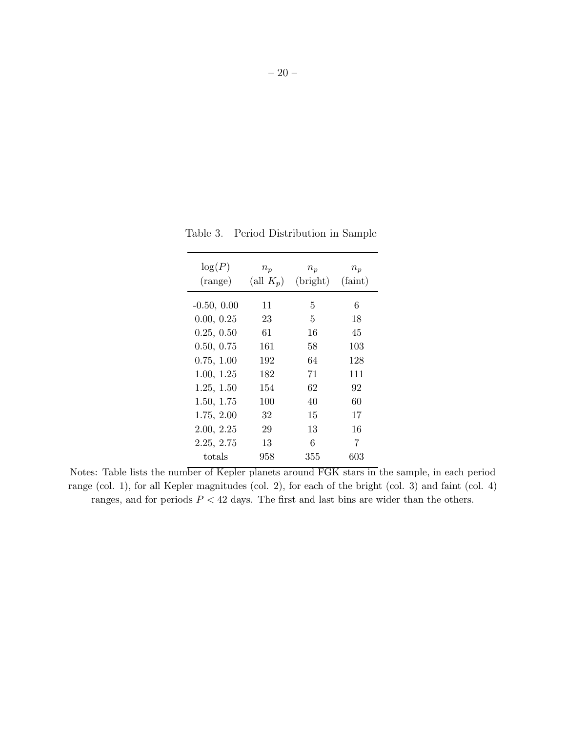<span id="page-19-0"></span>

| log(P)<br>(range) | $n_p$<br>(all $K_p$ ) | $n_p$<br>(bright) | $n_p$<br>(faint) |
|-------------------|-----------------------|-------------------|------------------|
| $-0.50, 0.00$     | 11                    | 5                 | 6                |
| 0.00, 0.25        | 23                    | 5                 | 18               |
| 0.25, 0.50        | 61                    | 16                | 45               |
| 0.50, 0.75        | 161                   | 58                | 103              |
| 0.75, 1.00        | 192                   | 64                | 128              |
| 1.00, 1.25        | 182                   | 71                | 111              |
| 1.25, 1.50        | 154                   | 62                | 92               |
| 1.50, 1.75        | 100                   | 40                | 60               |
| 1.75, 2.00        | 32                    | 15                | 17               |
| 2.00, 2.25        | 29                    | 13                | 16               |
| 2.25, 2.75        | 13                    | 6                 | 7                |
| totals            | 958                   | 355               | 603              |

Table 3. Period Distribution in Sample

Notes: Table lists the number of Kepler planets around FGK stars in the sample, in each period range (col. 1), for all Kepler magnitudes (col. 2), for each of the bright (col. 3) and faint (col. 4) ranges, and for periods  $P < 42$  days. The first and last bins are wider than the others.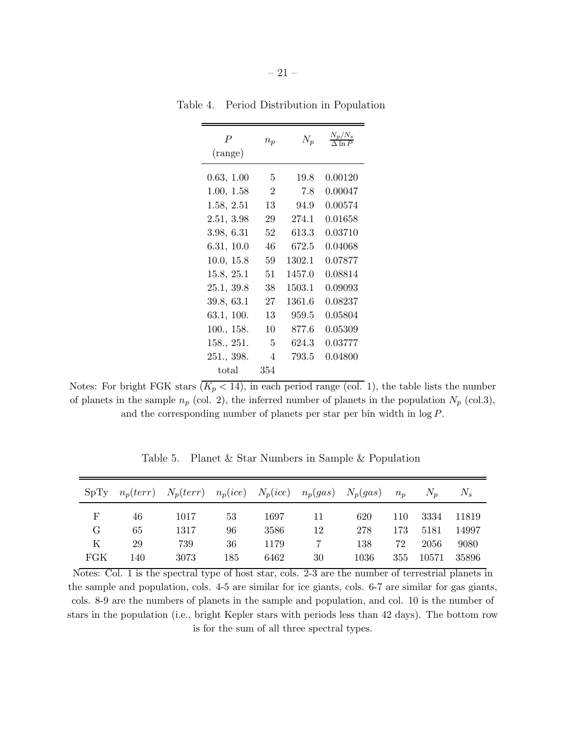<span id="page-20-0"></span>

| $\overline{P}$<br>(range) | $n_p$          | $N_p$  | $\frac{N_p/N_s}{\Delta \ln P}$ |
|---------------------------|----------------|--------|--------------------------------|
|                           |                |        |                                |
| 0.63, 1.00                | 5              | 19.8   | $0.00120\,$                    |
| 1.00, 1.58                | $\overline{2}$ | 7.8    | 0.00047                        |
| 1.58, 2.51                | 13             | 94.9   | 0.00574                        |
| 2.51, 3.98                | 29             | 274.1  | 0.01658                        |
| 3.98, 6.31                | 52             | 613.3  | 0.03710                        |
| 6.31, 10.0                | 46             | 672.5  | 0.04068                        |
| 10.0, 15.8                | 59             | 1302.1 | 0.07877                        |
| 15.8, 25.1                | 51             | 1457.0 | 0.08814                        |
| 25.1, 39.8                | 38             | 1503.1 | 0.09093                        |
| 39.8, 63.1                | 27             | 1361.6 | $\, 0.08237 \,$                |
| 63.1, 100.                | 13             | 959.5  | 0.05804                        |
| 100., 158.                | 10             | 877.6  | 0.05309                        |
| 158., 251.                | 5              | 624.3  | 0.03777                        |
| 251., 398.                | 4              | 793.5  | 0.04800                        |
| total                     | 354            |        |                                |

Table 4. Period Distribution in Population

Notes: For bright FGK stars  $(K_p < 14)$ , in each period range (col. 1), the table lists the number of planets in the sample  $n_p$  (col. 2), the inferred number of planets in the population  $N_p$  (col.3), and the corresponding number of planets per star per bin width in log P.

|     |     | $SpTy$ $n_p(terr)$ $N_p(terr)$ $n_p(ice)$ $N_p(ice)$ $n_p(gas)$ $N_p(gas)$ |     |      |    |      | $n_p$ | $N_n$ | $N_{\rm s}$ |
|-----|-----|----------------------------------------------------------------------------|-----|------|----|------|-------|-------|-------------|
| F   | 46  | 1017                                                                       | 53  | 1697 | 11 | 620  | 110   | 3334  | 11819       |
| G   | 65  | 1317                                                                       | 96  | 3586 | 12 | 278  | 173   | 5181  | 14997       |
| K   | 29  | 739                                                                        | 36  | 1179 |    | 138  | 72    | 2056  | 9080        |
| FGK | 140 | 3073                                                                       | 185 | 6462 | 30 | 1036 | 355   | 10571 | 35896       |

<span id="page-20-1"></span>Table 5. Planet & Star Numbers in Sample & Population

Notes: Col. 1 is the spectral type of host star, cols. 2-3 are the number of terrestrial planets in the sample and population, cols. 4-5 are similar for ice giants, cols. 6-7 are similar for gas giants, cols. 8-9 are the numbers of planets in the sample and population, and col. 10 is the number of stars in the population (i.e., bright Kepler stars with periods less than 42 days). The bottom row is for the sum of all three spectral types.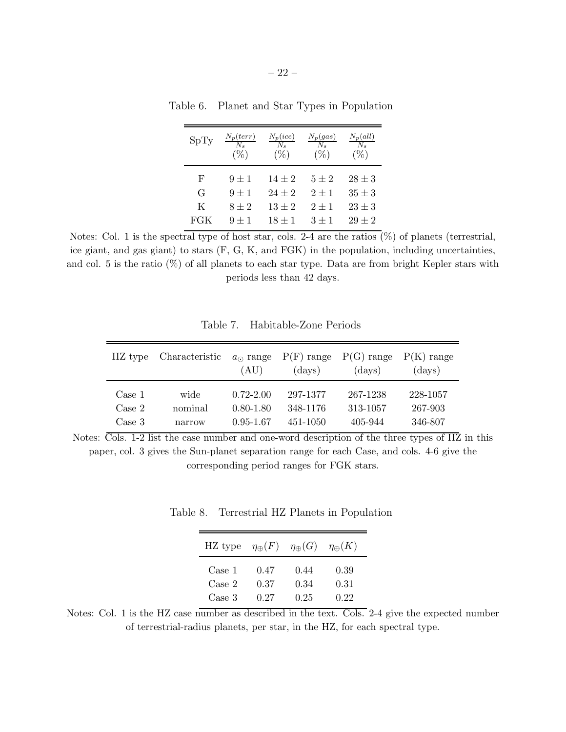<span id="page-21-0"></span>

| SpTy | $\frac{N_p(terr)}{N_s}$<br>$(\%)$ | $\frac{N_p(ice)}{N_s}$<br>$(\%)$ | $\frac{N_p(gas)}{N_s}$<br>$(\% )$ | $\frac{N_p(all)}{N_s}$<br>$( \% )$ |
|------|-----------------------------------|----------------------------------|-----------------------------------|------------------------------------|
| F    | $9 \pm 1$                         | $14 \pm 2$                       | $5\pm 2$                          | $28 \pm 3$                         |
| G    | $9 \pm 1$                         | $24 \pm 2$                       | $2 \pm 1$                         | $35 \pm 3$                         |
| K    | $8 \pm 2$                         | $13 \pm 2$                       | $2 + 1$                           | $23 \pm 3$                         |
| FGK  | $9 \pm 1$                         | $18 \pm 1$                       | $3 + 1$                           | $29 \pm 2$                         |

Table 6. Planet and Star Types in Population

Notes: Col. 1 is the spectral type of host star, cols. 2-4 are the ratios  $(\%)$  of planets (terrestrial, ice giant, and gas giant) to stars (F, G, K, and FGK) in the population, including uncertainties, and col. 5 is the ratio  $(\%)$  of all planets to each star type. Data are from bright Kepler stars with periods less than 42 days.

| HZ type | Characteristic | $a_{\odot}$ range<br>(AU) | $P(F)$ range<br>$\rm (days)$ | $P(G)$ range<br>$\rm (days)$ | $P(K)$ range<br>(days) |
|---------|----------------|---------------------------|------------------------------|------------------------------|------------------------|
| Case 1  | wide           | $0.72 - 2.00$             | 297-1377                     | 267-1238                     | 228-1057               |
| Case 2  | nominal        | $0.80 - 1.80$             | 348-1176                     | 313-1057                     | 267-903                |
| Case 3  | narrow         | $0.95 - 1.67$             | 451-1050                     | 405-944                      | 346-807                |

<span id="page-21-1"></span>Table 7. Habitable-Zone Periods

Notes: Cols. 1-2 list the case number and one-word description of the three types of HZ in this paper, col. 3 gives the Sun-planet separation range for each Case, and cols. 4-6 give the corresponding period ranges for FGK stars.

Table 8. Terrestrial HZ Planets in Population

<span id="page-21-2"></span>

| HZ type | $\eta_\oplus(F)$ | $\eta_{\oplus}(G)$ | $\eta_{\oplus}(K)$ |
|---------|------------------|--------------------|--------------------|
| Case 1  | 0.47             | 0.44               | 0.39               |
| Case 2  | 0.37             | 0.34               | 0.31               |
| Case 3  | 0.27             | 0.25               | 0.22               |

Notes: Col. 1 is the HZ case number as described in the text. Cols. 2-4 give the expected number of terrestrial-radius planets, per star, in the HZ, for each spectral type.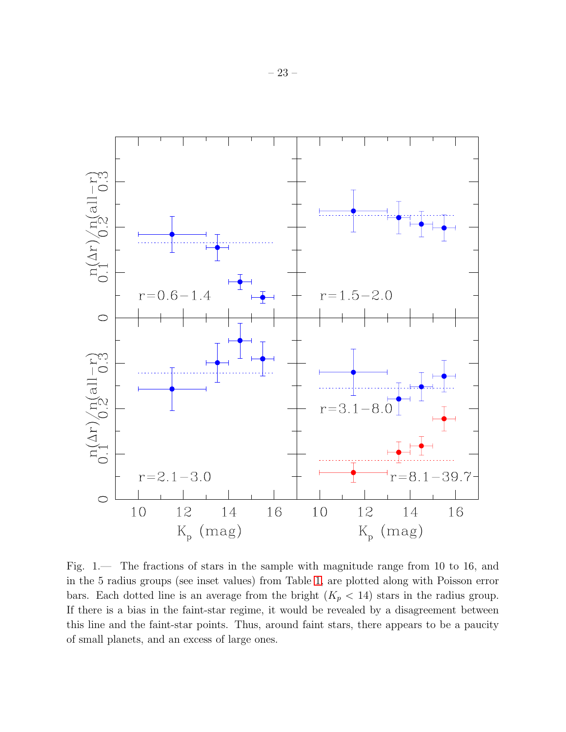

<span id="page-22-0"></span>Fig. 1.— The fractions of stars in the sample with magnitude range from 10 to 16, and in the 5 radius groups (see inset values) from Table [1,](#page-18-0) are plotted along with Poisson error bars. Each dotted line is an average from the bright  $(K_p < 14)$  stars in the radius group. If there is a bias in the faint-star regime, it would be revealed by a disagreement between this line and the faint-star points. Thus, around faint stars, there appears to be a paucity of small planets, and an excess of large ones.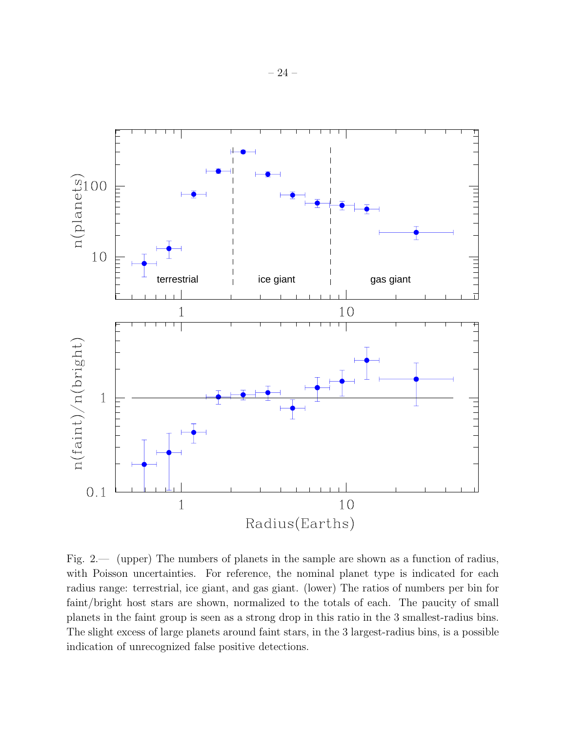

<span id="page-23-0"></span>Fig. 2.— (upper) The numbers of planets in the sample are shown as a function of radius, with Poisson uncertainties. For reference, the nominal planet type is indicated for each radius range: terrestrial, ice giant, and gas giant. (lower) The ratios of numbers per bin for faint/bright host stars are shown, normalized to the totals of each. The paucity of small planets in the faint group is seen as a strong drop in this ratio in the 3 smallest-radius bins. The slight excess of large planets around faint stars, in the 3 largest-radius bins, is a possible indication of unrecognized false positive detections.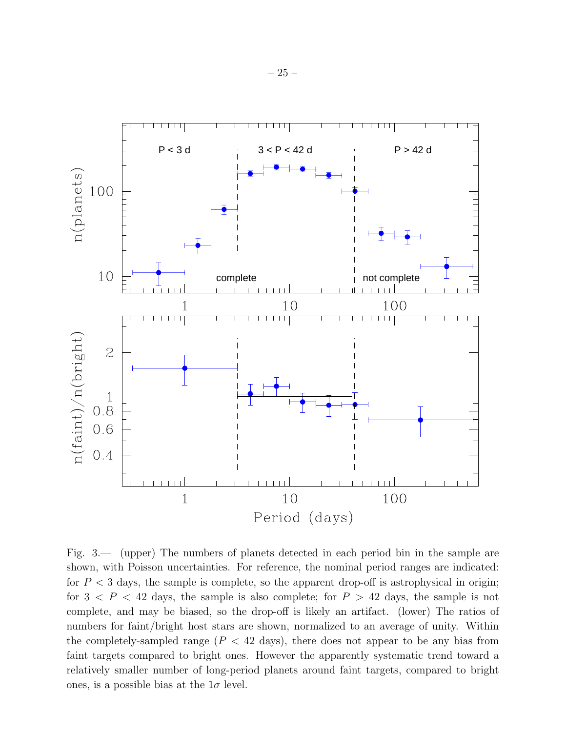

<span id="page-24-0"></span>Fig. 3.— (upper) The numbers of planets detected in each period bin in the sample are shown, with Poisson uncertainties. For reference, the nominal period ranges are indicated: for  $P < 3$  days, the sample is complete, so the apparent drop-off is astrophysical in origin; for  $3 < P < 42$  days, the sample is also complete; for  $P > 42$  days, the sample is not complete, and may be biased, so the drop-off is likely an artifact. (lower) The ratios of numbers for faint/bright host stars are shown, normalized to an average of unity. Within the completely-sampled range  $(P < 42$  days), there does not appear to be any bias from faint targets compared to bright ones. However the apparently systematic trend toward a relatively smaller number of long-period planets around faint targets, compared to bright ones, is a possible bias at the  $1\sigma$  level.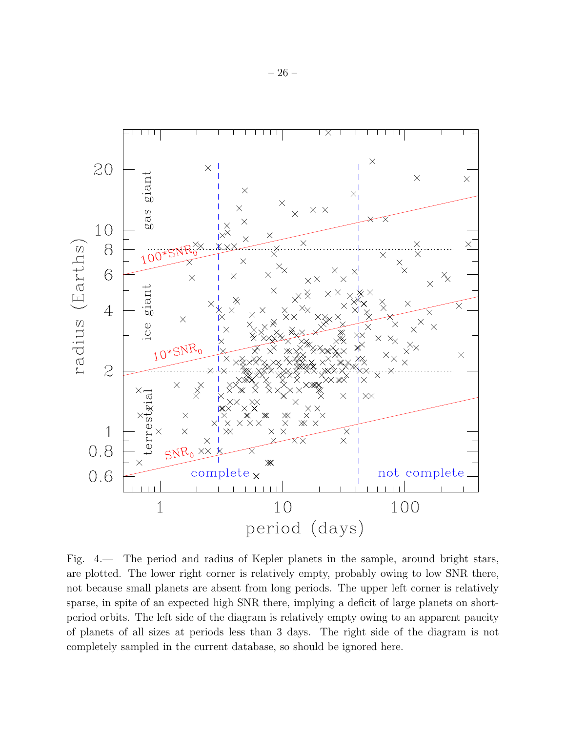

<span id="page-25-0"></span>Fig. 4.— The period and radius of Kepler planets in the sample, around bright stars, are plotted. The lower right corner is relatively empty, probably owing to low SNR there, not because small planets are absent from long periods. The upper left corner is relatively sparse, in spite of an expected high SNR there, implying a deficit of large planets on shortperiod orbits. The left side of the diagram is relatively empty owing to an apparent paucity of planets of all sizes at periods less than 3 days. The right side of the diagram is not completely sampled in the current database, so should be ignored here.